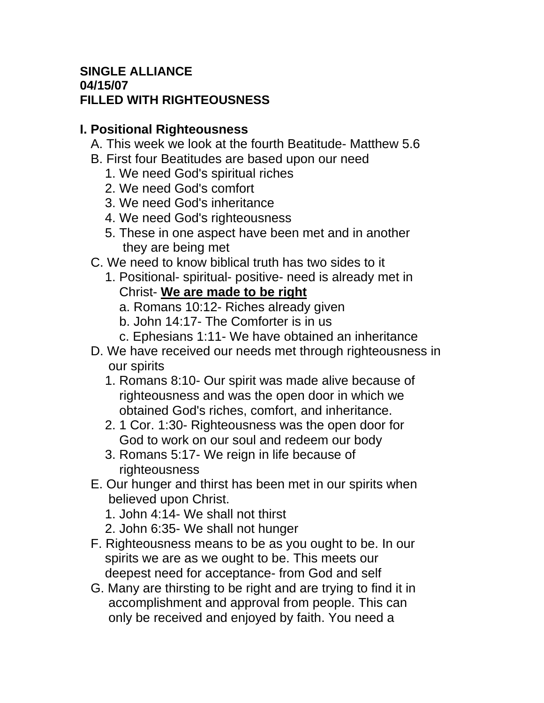## **SINGLE ALLIANCE 04/15/07 FILLED WITH RIGHTEOUSNESS**

## **I. Positional Righteousness**

- A. This week we look at the fourth Beatitude- Matthew 5.6
- B. First four Beatitudes are based upon our need
	- 1. We need God's spiritual riches
	- 2. We need God's comfort
	- 3. We need God's inheritance
	- 4. We need God's righteousness
	- 5. These in one aspect have been met and in another they are being met
- C. We need to know biblical truth has two sides to it
	- 1. Positional- spiritual- positive- need is already met in Christ- **We are made to be right**
		- a. Romans 10:12- Riches already given
		- b. John 14:17- The Comforter is in us
		- c. Ephesians 1:11- We have obtained an inheritance
- D. We have received our needs met through righteousness in our spirits
	- 1. Romans 8:10- Our spirit was made alive because of righteousness and was the open door in which we obtained God's riches, comfort, and inheritance.
	- 2. 1 Cor. 1:30- Righteousness was the open door for God to work on our soul and redeem our body
	- 3. Romans 5:17- We reign in life because of righteousness
- E. Our hunger and thirst has been met in our spirits when believed upon Christ.
	- 1. John 4:14- We shall not thirst
	- 2. John 6:35- We shall not hunger
- F. Righteousness means to be as you ought to be. In our spirits we are as we ought to be. This meets our deepest need for acceptance- from God and self
- G. Many are thirsting to be right and are trying to find it in accomplishment and approval from people. This can only be received and enjoyed by faith. You need a